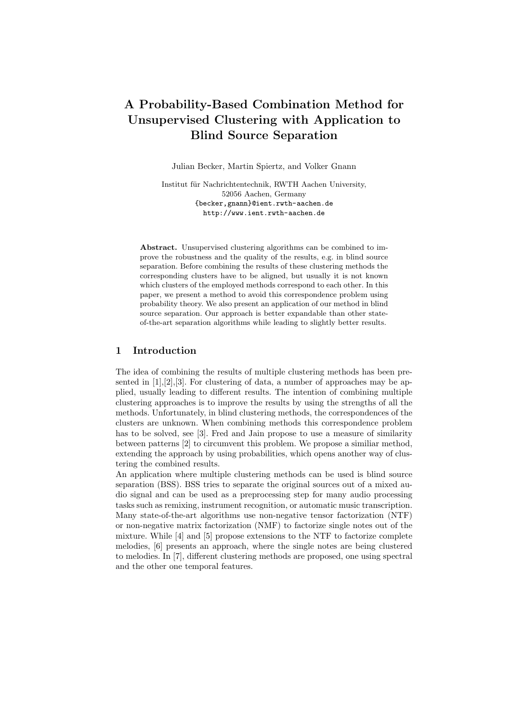# A Probability-Based Combination Method for Unsupervised Clustering with Application to Blind Source Separation

Julian Becker, Martin Spiertz, and Volker Gnann

Institut für Nachrichtentechnik, RWTH Aachen University, 52056 Aachen, Germany {becker,gnann}@ient.rwth-aachen.de http://www.ient.rwth-aachen.de

Abstract. Unsupervised clustering algorithms can be combined to improve the robustness and the quality of the results, e.g. in blind source separation. Before combining the results of these clustering methods the corresponding clusters have to be aligned, but usually it is not known which clusters of the employed methods correspond to each other. In this paper, we present a method to avoid this correspondence problem using probability theory. We also present an application of our method in blind source separation. Our approach is better expandable than other stateof-the-art separation algorithms while leading to slightly better results.

# 1 Introduction

The idea of combining the results of multiple clustering methods has been presented in  $[1], [2], [3]$ . For clustering of data, a number of approaches may be applied, usually leading to different results. The intention of combining multiple clustering approaches is to improve the results by using the strengths of all the methods. Unfortunately, in blind clustering methods, the correspondences of the clusters are unknown. When combining methods this correspondence problem has to be solved, see [3]. Fred and Jain propose to use a measure of similarity between patterns [2] to circumvent this problem. We propose a similiar method, extending the approach by using probabilities, which opens another way of clustering the combined results.

An application where multiple clustering methods can be used is blind source separation (BSS). BSS tries to separate the original sources out of a mixed audio signal and can be used as a preprocessing step for many audio processing tasks such as remixing, instrument recognition, or automatic music transcription. Many state-of-the-art algorithms use non-negative tensor factorization (NTF) or non-negative matrix factorization (NMF) to factorize single notes out of the mixture. While [4] and [5] propose extensions to the NTF to factorize complete melodies, [6] presents an approach, where the single notes are being clustered to melodies. In [7], different clustering methods are proposed, one using spectral and the other one temporal features.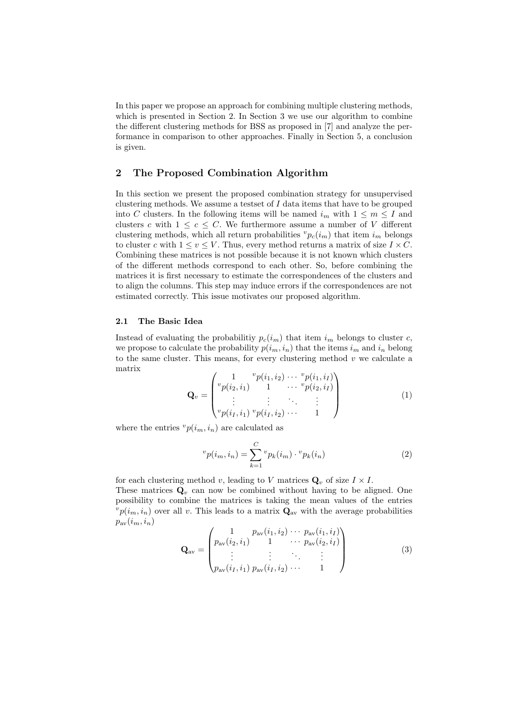In this paper we propose an approach for combining multiple clustering methods, which is presented in Section 2. In Section 3 we use our algorithm to combine the different clustering methods for BSS as proposed in [7] and analyze the performance in comparison to other approaches. Finally in Section 5, a conclusion is given.

# 2 The Proposed Combination Algorithm

In this section we present the proposed combination strategy for unsupervised clustering methods. We assume a testset of  $I$  data items that have to be grouped into C clusters. In the following items will be named  $i_m$  with  $1 \leq m \leq I$  and clusters c with  $1 \leq c \leq C$ . We furthermore assume a number of V different clustering methods, which all return probabilities  ${}^v p_c(i_m)$  that item  $i_m$  belongs to cluster c with  $1 \le v \le V$ . Thus, every method returns a matrix of size  $I \times C$ . Combining these matrices is not possible because it is not known which clusters of the different methods correspond to each other. So, before combining the matrices it is first necessary to estimate the correspondences of the clusters and to align the columns. This step may induce errors if the correspondences are not estimated correctly. This issue motivates our proposed algorithm.

#### 2.1 The Basic Idea

Instead of evaluating the probabilitiy  $p_c(i_m)$  that item  $i_m$  belongs to cluster c, we propose to calculate the probability  $p(i_m, i_n)$  that the items  $i_m$  and  $i_n$  belong to the same cluster. This means, for every clustering method  $v$  we calculate a matrix

$$
\mathbf{Q}_v = \begin{pmatrix} 1 & ^{v}p(i_1, i_2) & \cdots & ^{v}p(i_1, i_I) \\ ^{v}p(i_2, i_1) & 1 & \cdots & ^{v}p(i_2, i_I) \\ \vdots & \vdots & \ddots & \vdots \\ ^{v}p(i_I, i_1) & ^{v}p(i_I, i_2) & \cdots & 1 \end{pmatrix}
$$
(1)

where the entries  $^vp(i_m, i_n)$  are calculated as

$$
{}^{v}p(i_{m},i_{n}) = \sum_{k=1}^{C} {}^{v}p_{k}(i_{m}) \cdot {}^{v}p_{k}(i_{n})
$$
\n(2)

for each clustering method v, leading to V matrices  $\mathbf{Q}_v$  of size  $I \times I$ . These matrices  $\mathbf{Q}_v$  can now be combined without having to be aligned. One possibility to combine the matrices is taking the mean values of the entries  $^{v}p(i_{m}, i_{n})$  over all v. This leads to a matrix  $\mathbf{Q}_{av}$  with the average probabilities  $p_{\text{av}}(i_m, i_n)$ 

$$
\mathbf{Q}_{\rm av} = \begin{pmatrix} 1 & p_{\rm av}(i_1, i_2) & \cdots & p_{\rm av}(i_1, i_1) \\ p_{\rm av}(i_2, i_1) & 1 & \cdots & p_{\rm av}(i_2, i_1) \\ \vdots & \vdots & \ddots & \vdots \\ p_{\rm av}(i_1, i_1) & p_{\rm av}(i_1, i_2) & \cdots & 1 \end{pmatrix}
$$
(3)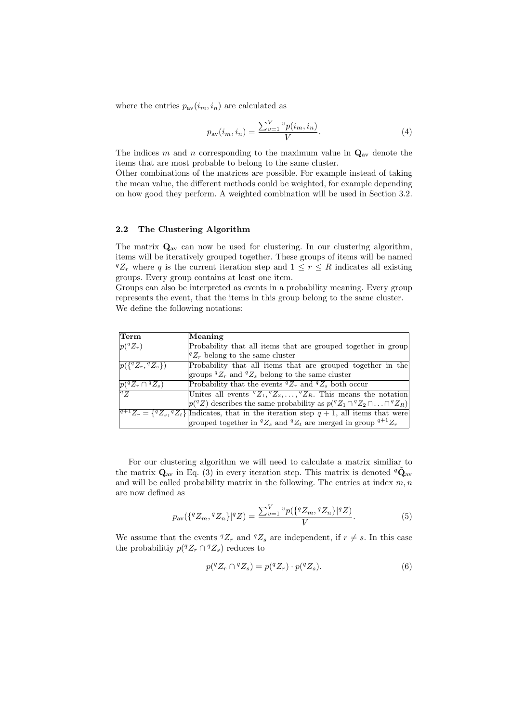where the entries  $p_{av}(i_m, i_n)$  are calculated as

$$
p_{\text{av}}(i_m, i_n) = \frac{\sum_{v=1}^{V} v p(i_m, i_n)}{V}.
$$
\n(4)

The indices m and n corresponding to the maximum value in  $\mathbf{Q}_{av}$  denote the items that are most probable to belong to the same cluster.

Other combinations of the matrices are possible. For example instead of taking the mean value, the different methods could be weighted, for example depending on how good they perform. A weighted combination will be used in Section 3.2.

# 2.2 The Clustering Algorithm

The matrix  $\mathbf{Q}_{av}$  can now be used for clustering. In our clustering algorithm, items will be iteratively grouped together. These groups of items will be named  ${}^qZ_r$  where q is the current iteration step and  $1 \leq r \leq R$  indicates all existing groups. Every group contains at least one item.

Groups can also be interpreted as events in a probability meaning. Every group represents the event, that the items in this group belong to the same cluster. We define the following notations:

| Term                                 | Meaning                                                                                                     |
|--------------------------------------|-------------------------------------------------------------------------------------------------------------|
| $p(^{q}Z_{r})$                       | Probability that all items that are grouped together in group                                               |
|                                      | $ {}^qZ_r$ belong to the same cluster                                                                       |
| $ p({}^{q}Z_{r},{}^{q}Z_{s})\rangle$ | Probability that all items that are grouped together in the                                                 |
|                                      | groups ${}^qZ_r$ and ${}^qZ_s$ belong to the same cluster                                                   |
| $ p({}^qZ_r \cap {}^qZ_s) $          | Probability that the events ${}^qZ_r$ and ${}^qZ_s$ both occur                                              |
| qZ                                   | Unites all events ${}^qZ_1, {}^qZ_2, \ldots, {}^qZ_R$ . This means the notation                             |
|                                      | $ p({}^qZ)$ describes the same probability as $p({}^qZ_1 \cap {}^qZ_2 \cap  \cap {}^qZ_R) $                 |
|                                      | $\sqrt[q+1]{Z_r} = \{\,^qZ_s, \,^qZ_t\}\$ Indicates, that in the iteration step $q+1$ , all items that were |
|                                      | grouped together in ${}^qZ_s$ and ${}^qZ_t$ are merged in group ${}^{q+1}Z_r$                               |

For our clustering algorithm we will need to calculate a matrix similiar to the matrix  $\mathbf{Q}_{av}$  in Eq. (3) in every iteration step. This matrix is denoted  $q\tilde{\mathbf{Q}}_{av}$ and will be called probability matrix in the following. The entries at index  $m, n$ are now defined as

$$
p_{\text{av}}(\{^q Z_m, ^q Z_n \} | ^q Z) = \frac{\sum_{v=1}^V {}^v p(\{^q Z_m, ^q Z_n \} | ^q Z)}{V}.
$$
 (5)

We assume that the events  ${}^qZ_r$  and  ${}^qZ_s$  are independent, if  $r \neq s$ . In this case the probabilitiy  $p({}^qZ_r \cap {}^qZ_s)$  reduces to

$$
p({}^qZ_r \cap {}^qZ_s) = p({}^qZ_r) \cdot p({}^qZ_s). \tag{6}
$$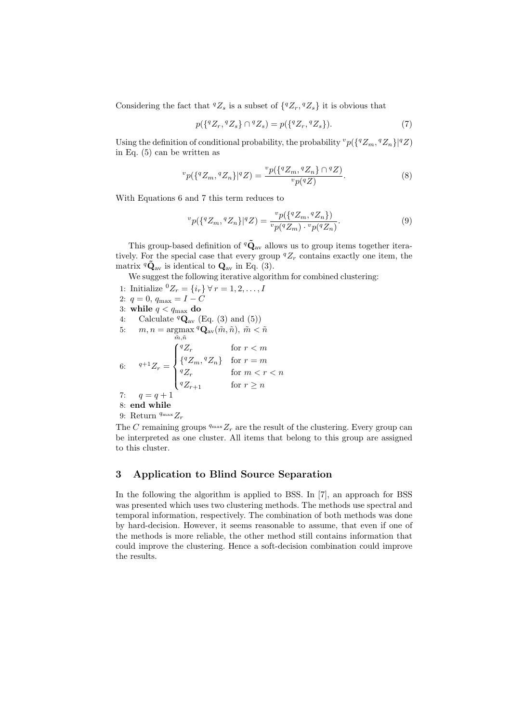Considering the fact that  ${}^qZ_s$  is a subset of  $\{{}^qZ_r, {}^qZ_s\}$  it is obvious that

$$
p({^{q}Z_{r}, {^{q}Z_{s}}}) \cap {^{q}Z_{s}}) = p({^{q}Z_{r}, {^{q}Z_{s}}}).
$$
\n(7)

Using the definition of conditional probability, the probability  ${}^vp({\lbrace {}^q {Z_m}, {}^q {Z_n}\rbrace }^q Z)$ in Eq. (5) can be written as

$$
{}^{v}p(\lbrace {}^{q}Z_{m}, {}^{q}Z_{n}\rbrace | {}^{q}Z) = \frac{{}^{v}p(\lbrace {}^{q}Z_{m}, {}^{q}Z_{n}\rbrace \cap {}^{q}Z)}{{}^{v}p({}^{q}Z)}.
$$
 (8)

With Equations 6 and 7 this term reduces to

$$
{}^{v}p(\lbrace {}^{q}Z_{m}, {}^{q}Z_{n}\rbrace | {}^{q}Z) = \frac{{}^{v}p(\lbrace {}^{q}Z_{m}, {}^{q}Z_{n}\rbrace)}{{}^{v}p({}^{q}Z_{m})\cdot {}^{v}p({}^{q}Z_{n})}.
$$
 (9)

This group-based definition of  ${}^q\tilde{Q}_{av}$  allows us to group items together iteratively. For the special case that every group  ${}^qZ_r$  contains exactly one item, the matrix  ${}^q\tilde{\mathbf{Q}}_{\text{av}}$  is identical to  $\mathbf{Q}_{\text{av}}$  in Eq. (3).

We suggest the following iterative algorithm for combined clustering:

- 1: Initialize  ${}^{0}Z_{r} = \{i_{r}\} \forall r = 1, 2, ..., I$
- 2:  $q = 0$ ,  $q_{\text{max}} = I C$
- 3: while  $q < q_{\text{max}}$  do
- 4: Calculate  ${}^q{\bf Q}_{\rm av}$  (Eq. (3) and (5))
- 5:  $m, n = \text{argmax}^q \mathbf{Q}_{av}(\tilde{m}, \tilde{n}), \tilde{m} < \tilde{n}$  $\tilde{m}, \tilde{n}$ 6:  $q+1Z_r =$  $\sqrt{ }$  $\int$  $\overline{\mathcal{L}}$  ${}^qZ_r$  for  $r < m$  $\{^qZ_m, {^qZ_n}\}\quad \text{for } r=m$  ${}^qZ_r$  for  $m < r < n$  ${}^qZ_{r+1}$  for  $r \geq n$

$$
7. \qquad \alpha = \alpha + 1
$$

- 7:  $q = q + 1$ 8: end while
- 9: Return  $q_{\text{max}} Z_r$

The C remaining groups  $q_{\text{max}} Z_r$  are the result of the clustering. Every group can be interpreted as one cluster. All items that belong to this group are assigned to this cluster.

# 3 Application to Blind Source Separation

In the following the algorithm is applied to BSS. In [7], an approach for BSS was presented which uses two clustering methods. The methods use spectral and temporal information, respectively. The combination of both methods was done by hard-decision. However, it seems reasonable to assume, that even if one of the methods is more reliable, the other method still contains information that could improve the clustering. Hence a soft-decision combination could improve the results.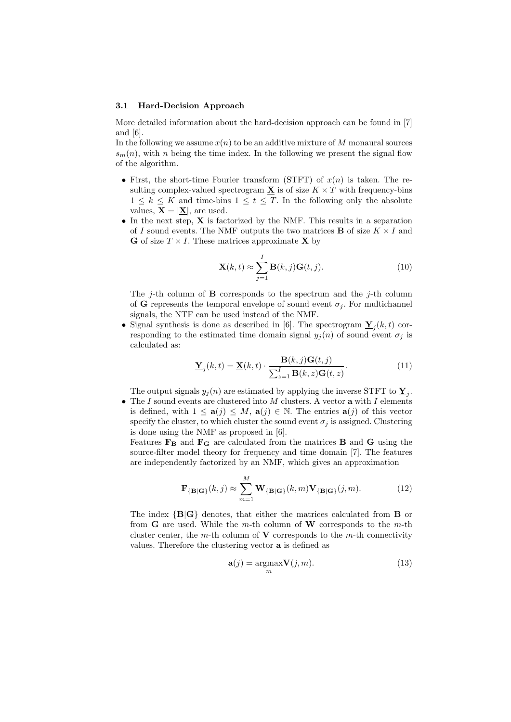#### 3.1 Hard-Decision Approach

More detailed information about the hard-decision approach can be found in [7] and [6].

In the following we assume  $x(n)$  to be an additive mixture of M monaural sources  $s_m(n)$ , with n being the time index. In the following we present the signal flow of the algorithm.

- First, the short-time Fourier transform (STFT) of  $x(n)$  is taken. The resulting complex-valued spectrogram  $\underline{\mathbf{X}}$  is of size  $K \times T$  with frequency-bins  $1 \leq k \leq K$  and time-bins  $1 \leq t \leq T$ . In the following only the absolute values,  $\mathbf{X} = |\mathbf{X}|$ , are used.
- In the next step,  $X$  is factorized by the NMF. This results in a separation of I sound events. The NMF outputs the two matrices **B** of size  $K \times I$  and **G** of size  $T \times I$ . These matrices approximate **X** by

$$
\mathbf{X}(k,t) \approx \sum_{j=1}^{I} \mathbf{B}(k,j) \mathbf{G}(t,j).
$$
 (10)

The j-th column of **B** corresponds to the spectrum and the j-th column of G represents the temporal envelope of sound event  $\sigma_i$ . For multichannel signals, the NTF can be used instead of the NMF.

• Signal synthesis is done as described in [6]. The spectrogram  $\underline{\mathbf{Y}}_j(k,t)$  corresponding to the estimated time domain signal  $y_j(n)$  of sound event  $\sigma_j$  is calculated as:

$$
\underline{\mathbf{Y}}_{j}(k,t) = \underline{\mathbf{X}}(k,t) \cdot \frac{\mathbf{B}(k,j)\mathbf{G}(t,j)}{\sum_{z=1}^{I} \mathbf{B}(k,z)\mathbf{G}(t,z)}.
$$
(11)

The output signals  $y_j(n)$  are estimated by applying the inverse STFT to  $\underline{Y}_j$ .

• The I sound events are clustered into M clusters. A vector a with I elements is defined, with  $1 \le a(j) \le M$ ,  $a(j) \in \mathbb{N}$ . The entries  $a(j)$  of this vector specify the cluster, to which cluster the sound event  $\sigma_i$  is assigned. Clustering is done using the NMF as proposed in [6].

Features  $\mathbf{F}_{\mathbf{B}}$  and  $\mathbf{F}_{\mathbf{G}}$  are calculated from the matrices **B** and **G** using the source-filter model theory for frequency and time domain [7]. The features are independently factorized by an NMF, which gives an approximation

$$
\mathbf{F}_{\{\mathbf{B}|\mathbf{G}\}}(k,j) \approx \sum_{m=1}^{M} \mathbf{W}_{\{\mathbf{B}|\mathbf{G}\}}(k,m) \mathbf{V}_{\{\mathbf{B}|\mathbf{G}\}}(j,m). \tag{12}
$$

The index {B|G} denotes, that either the matrices calculated from B or from  $\bf{G}$  are used. While the m-th column of  $\bf{W}$  corresponds to the m-th cluster center, the m-th column of  $V$  corresponds to the m-th connectivity values. Therefore the clustering vector a is defined as

$$
\mathbf{a}(j) = \underset{m}{\operatorname{argmax}} \mathbf{V}(j, m). \tag{13}
$$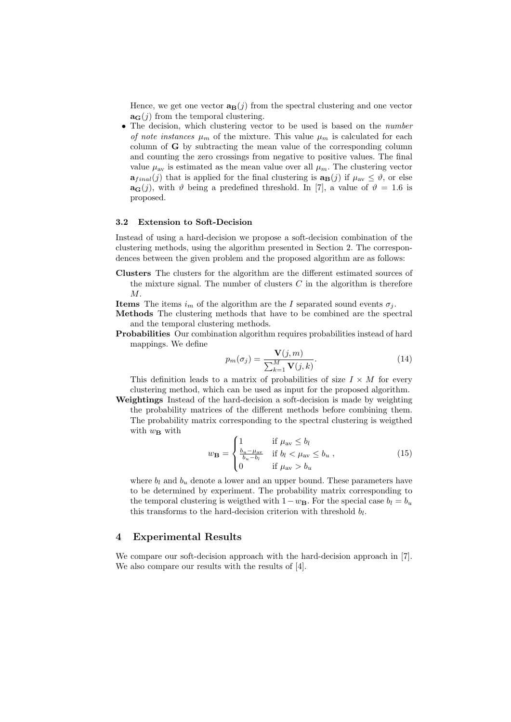Hence, we get one vector  $\mathbf{a}_{\mathbf{B}}(j)$  from the spectral clustering and one vector  $\mathbf{a}_{\mathbf{G}}(j)$  from the temporal clustering.

• The decision, which clustering vector to be used is based on the *number* of note instances  $\mu_m$  of the mixture. This value  $\mu_m$  is calculated for each column of G by subtracting the mean value of the corresponding column and counting the zero crossings from negative to positive values. The final value  $\mu_{av}$  is estimated as the mean value over all  $\mu_m$ . The clustering vector  $\mathbf{a}_{final}(j)$  that is applied for the final clustering is  $\mathbf{a}_{\mathbf{B}}(j)$  if  $\mu_{av} \leq \vartheta$ , or else  $\mathbf{a}_{\mathbf{G}}(j)$ , with  $\vartheta$  being a predefined threshold. In [7], a value of  $\vartheta = 1.6$  is proposed.

# 3.2 Extension to Soft-Decision

Instead of using a hard-decision we propose a soft-decision combination of the clustering methods, using the algorithm presented in Section 2. The correspondences between the given problem and the proposed algorithm are as follows:

Clusters The clusters for the algorithm are the different estimated sources of the mixture signal. The number of clusters  $C$  in the algorithm is therefore M.

**Items** The items  $i_m$  of the algorithm are the I separated sound events  $\sigma_i$ .

Methods The clustering methods that have to be combined are the spectral and the temporal clustering methods.

Probabilities Our combination algorithm requires probabilities instead of hard mappings. We define

$$
p_m(\sigma_j) = \frac{\mathbf{V}(j,m)}{\sum_{k=1}^M \mathbf{V}(j,k)}.
$$
\n(14)

This definition leads to a matrix of probabilities of size  $I \times M$  for every clustering method, which can be used as input for the proposed algorithm.

Weightings Instead of the hard-decision a soft-decision is made by weighting the probability matrices of the different methods before combining them. The probability matrix corresponding to the spectral clustering is weigthed with  $w_{\mathbf{B}}$  with

$$
w_{\mathbf{B}} = \begin{cases} 1 & \text{if } \mu_{\text{av}} \le b_l \\ \frac{b_u - \mu_{\text{av}}}{b_u - b_l} & \text{if } b_l < \mu_{\text{av}} \le b_u \\ 0 & \text{if } \mu_{\text{av}} > b_u \end{cases}
$$
(15)

where  $b_l$  and  $b_u$  denote a lower and an upper bound. These parameters have to be determined by experiment. The probability matrix corresponding to the temporal clustering is weigthed with  $1-w_B$ . For the special case  $b_l = b_u$ this transforms to the hard-decision criterion with threshold  $b_l$ .

### 4 Experimental Results

We compare our soft-decision approach with the hard-decision approach in [7]. We also compare our results with the results of [4].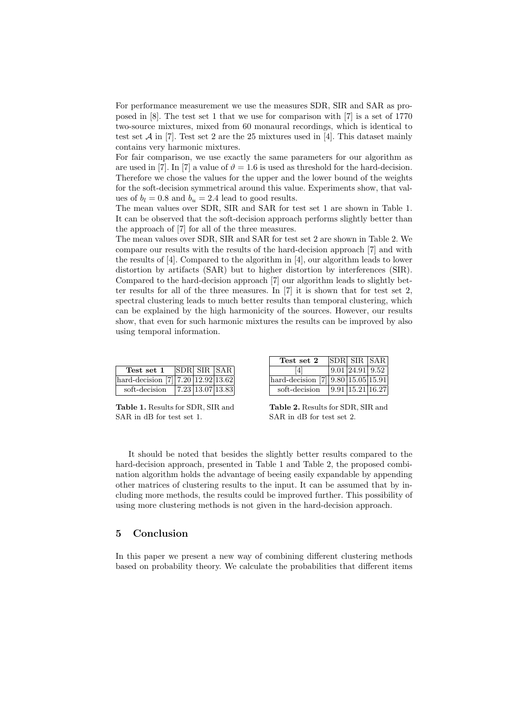For performance measurement we use the measures SDR, SIR and SAR as proposed in [8]. The test set 1 that we use for comparison with [7] is a set of 1770 two-source mixtures, mixed from 60 monaural recordings, which is identical to test set  $\mathcal A$  in [7]. Test set 2 are the 25 mixtures used in [4]. This dataset mainly contains very harmonic mixtures.

For fair comparison, we use exactly the same parameters for our algorithm as are used in [7]. In [7] a value of  $\vartheta = 1.6$  is used as threshold for the hard-decision. Therefore we chose the values for the upper and the lower bound of the weights for the soft-decision symmetrical around this value. Experiments show, that values of  $b_l = 0.8$  and  $b_u = 2.4$  lead to good results.

The mean values over SDR, SIR and SAR for test set 1 are shown in Table 1. It can be observed that the soft-decision approach performs slightly better than the approach of [7] for all of the three measures.

The mean values over SDR, SIR and SAR for test set 2 are shown in Table 2. We compare our results with the results of the hard-decision approach [7] and with the results of [4]. Compared to the algorithm in [4], our algorithm leads to lower distortion by artifacts (SAR) but to higher distortion by interferences (SIR). Compared to the hard-decision approach [7] our algorithm leads to slightly better results for all of the three measures. In [7] it is shown that for test set 2, spectral clustering leads to much better results than temporal clustering, which can be explained by the high harmonicity of the sources. However, our results show, that even for such harmonic mixtures the results can be improved by also using temporal information.

| Test set 1                           | SDR SIR SAR                           |  |
|--------------------------------------|---------------------------------------|--|
| hard-decision $[7]$ 7.20 12.92 13.62 |                                       |  |
| soft-decision                        | $\sqrt{7.23 \times 13.07 \times 333}$ |  |

Table 1. Results for SDR, SIR and SAR in dB for test set 1.

| Test set 2                           | <b>SDR</b> SIR SAR |  |
|--------------------------------------|--------------------|--|
| 41                                   | 9.01 24.91 9.52    |  |
| hard-decision $[7]$ 9.80 15.05 15.91 |                    |  |
| soft-decision                        | 9.91 15.21 16.27   |  |

Table 2. Results for SDR, SIR and SAR in dB for test set 2.

It should be noted that besides the slightly better results compared to the hard-decision approach, presented in Table 1 and Table 2, the proposed combination algorithm holds the advantage of beeing easily expandable by appending other matrices of clustering results to the input. It can be assumed that by including more methods, the results could be improved further. This possibility of using more clustering methods is not given in the hard-decision approach.

# 5 Conclusion

In this paper we present a new way of combining different clustering methods based on probability theory. We calculate the probabilities that different items